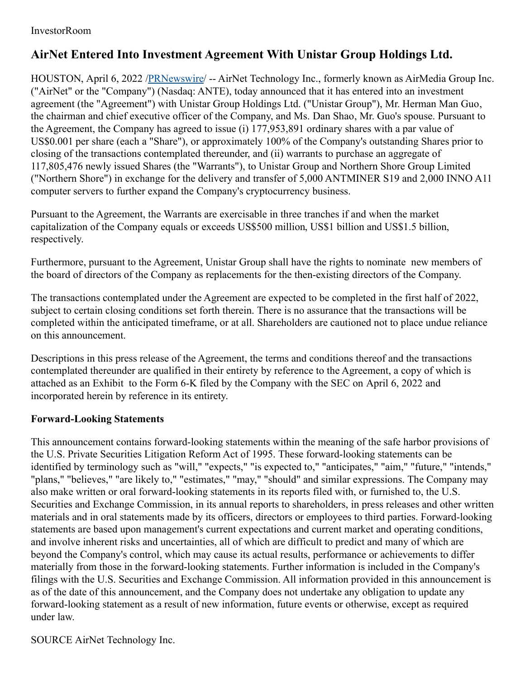## InvestorRoom

## **AirNet Entered Into Investment Agreement With Unistar Group Holdings Ltd.**

HOUSTON, April 6, 2022 [/PRNewswire](http://www.prnewswire.com/)/ -- AirNet Technology Inc., formerly known as AirMedia Group Inc. ("AirNet" or the "Company") (Nasdaq: ANTE), today announced that it has entered into an investment agreement (the "Agreement") with Unistar Group Holdings Ltd. ("Unistar Group"), Mr. Herman Man Guo, the chairman and chief executive officer of the Company, and Ms. Dan Shao, Mr. Guo's spouse. Pursuant to the Agreement, the Company has agreed to issue (i) 177,953,891 ordinary shares with a par value of US\$0.001 per share (each a "Share"), or approximately 100% of the Company's outstanding Shares prior to closing of the transactions contemplated thereunder, and (ii) warrants to purchase an aggregate of 117,805,476 newly issued Shares (the "Warrants"), to Unistar Group and Northern Shore Group Limited ("Northern Shore") in exchange for the delivery and transfer of 5,000 ANTMINER S19 and 2,000 INNO A11 computer servers to further expand the Company's cryptocurrency business.

Pursuant to the Agreement, the Warrants are exercisable in three tranches if and when the market capitalization of the Company equals or exceeds US\$500 million, US\$1 billion and US\$1.5 billion, respectively.

Furthermore, pursuant to the Agreement, Unistar Group shall have the rights to nominate new members of the board of directors of the Company as replacements for the then-existing directors of the Company.

The transactions contemplated under the Agreement are expected to be completed in the first half of 2022, subject to certain closing conditions set forth therein. There is no assurance that the transactions will be completed within the anticipated timeframe, or at all. Shareholders are cautioned not to place undue reliance on this announcement.

Descriptions in this press release of the Agreement, the terms and conditions thereof and the transactions contemplated thereunder are qualified in their entirety by reference to the Agreement, a copy of which is attached as an Exhibit to the Form 6-K filed by the Company with the SEC on April 6, 2022 and incorporated herein by reference in its entirety.

## **Forward-Looking Statements**

This announcement contains forward-looking statements within the meaning of the safe harbor provisions of the U.S. Private Securities Litigation Reform Act of 1995. These forward-looking statements can be identified by terminology such as "will," "expects," "is expected to," "anticipates," "aim," "future," "intends," "plans," "believes," "are likely to," "estimates," "may," "should" and similar expressions. The Company may also make written or oral forward-looking statements in its reports filed with, or furnished to, the U.S. Securities and Exchange Commission, in its annual reports to shareholders, in press releases and other written materials and in oral statements made by its officers, directors or employees to third parties. Forward-looking statements are based upon management's current expectations and current market and operating conditions, and involve inherent risks and uncertainties, all of which are difficult to predict and many of which are beyond the Company's control, which may cause its actual results, performance or achievements to differ materially from those in the forward-looking statements. Further information is included in the Company's filings with the U.S. Securities and Exchange Commission. All information provided in this announcement is as of the date of this announcement, and the Company does not undertake any obligation to update any forward-looking statement as a result of new information, future events or otherwise, except as required under law.

SOURCE AirNet Technology Inc.